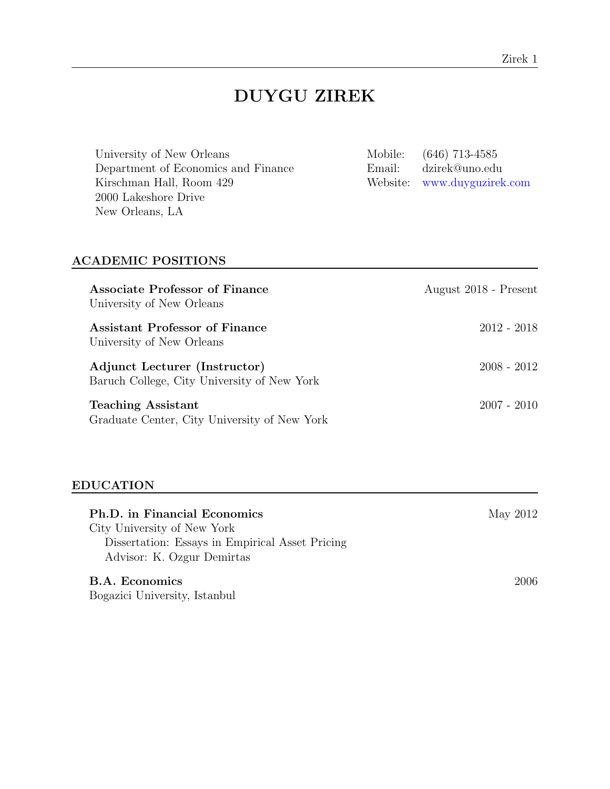# DUYGU ZIREK

| University of New Orleans<br>Department of Economics and Finance<br>Kirschman Hall, Room 429<br>2000 Lakeshore Drive<br>New Orleans, LA | Mobile:<br>Email:<br>Website: | $(646)$ 713-4585<br>dzirek@uno.edu<br>www.duyguzirek.com |
|-----------------------------------------------------------------------------------------------------------------------------------------|-------------------------------|----------------------------------------------------------|
| <b>ACADEMIC POSITIONS</b>                                                                                                               |                               |                                                          |
| <b>Associate Professor of Finance</b><br>University of New Orleans                                                                      |                               | August 2018 - Present                                    |
| Assistant Professor of Finance<br>University of New Orleans                                                                             |                               | $2012 - 2018$                                            |
| Adjunct Lecturer (Instructor)<br>Baruch College, City University of New York                                                            |                               | $2008 - 2012$                                            |
| <b>Teaching Assistant</b><br>Graduate Center, City University of New York                                                               |                               | $2007 - 2010$                                            |

## EDUCATION

| Ph.D. in Financial Economics                    | May 2012 |
|-------------------------------------------------|----------|
| City University of New York                     |          |
| Dissertation: Essays in Empirical Asset Pricing |          |
| Advisor: K. Ozgur Demirtas                      |          |
| B.A. Economics                                  | 2006     |
| Bogazici University, Istanbul                   |          |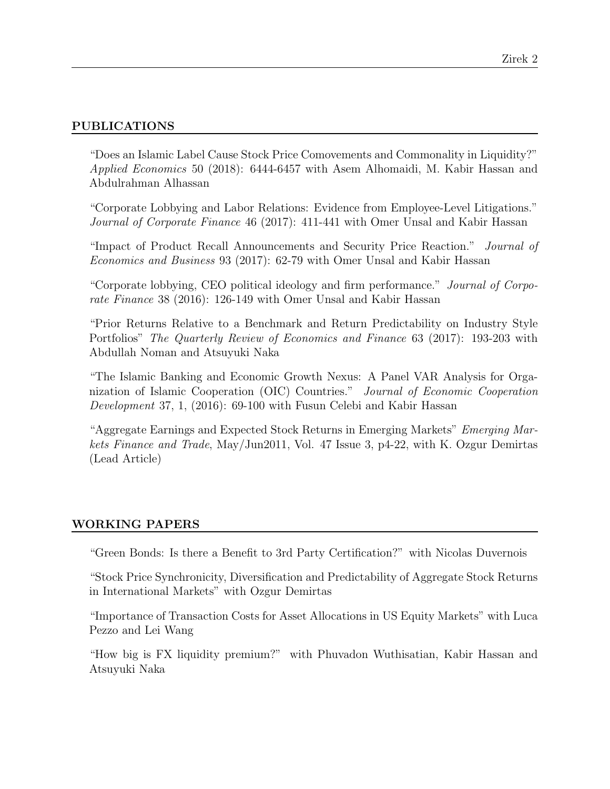## PUBLICATIONS

"Does an Islamic Label Cause Stock Price Comovements and Commonality in Liquidity?" Applied Economics 50 (2018): 6444-6457 with Asem Alhomaidi, M. Kabir Hassan and Abdulrahman Alhassan

"Corporate Lobbying and Labor Relations: Evidence from Employee-Level Litigations." Journal of Corporate Finance 46 (2017): 411-441 with Omer Unsal and Kabir Hassan

"Impact of Product Recall Announcements and Security Price Reaction." Journal of Economics and Business 93 (2017): 62-79 with Omer Unsal and Kabir Hassan

"Corporate lobbying, CEO political ideology and firm performance." Journal of Corporate Finance 38 (2016): 126-149 with Omer Unsal and Kabir Hassan

"Prior Returns Relative to a Benchmark and Return Predictability on Industry Style Portfolios" The Quarterly Review of Economics and Finance 63 (2017): 193-203 with Abdullah Noman and Atsuyuki Naka

"The Islamic Banking and Economic Growth Nexus: A Panel VAR Analysis for Organization of Islamic Cooperation (OIC) Countries." Journal of Economic Cooperation Development 37, 1, (2016): 69-100 with Fusun Celebi and Kabir Hassan

"Aggregate Earnings and Expected Stock Returns in Emerging Markets" Emerging Markets Finance and Trade, May/Jun2011, Vol. 47 Issue 3, p4-22, with K. Ozgur Demirtas (Lead Article)

## WORKING PAPERS

"Green Bonds: Is there a Benefit to 3rd Party Certification?" with Nicolas Duvernois

"Stock Price Synchronicity, Diversification and Predictability of Aggregate Stock Returns in International Markets" with Ozgur Demirtas

"Importance of Transaction Costs for Asset Allocations in US Equity Markets" with Luca Pezzo and Lei Wang

"How big is FX liquidity premium?" with Phuvadon Wuthisatian, Kabir Hassan and Atsuyuki Naka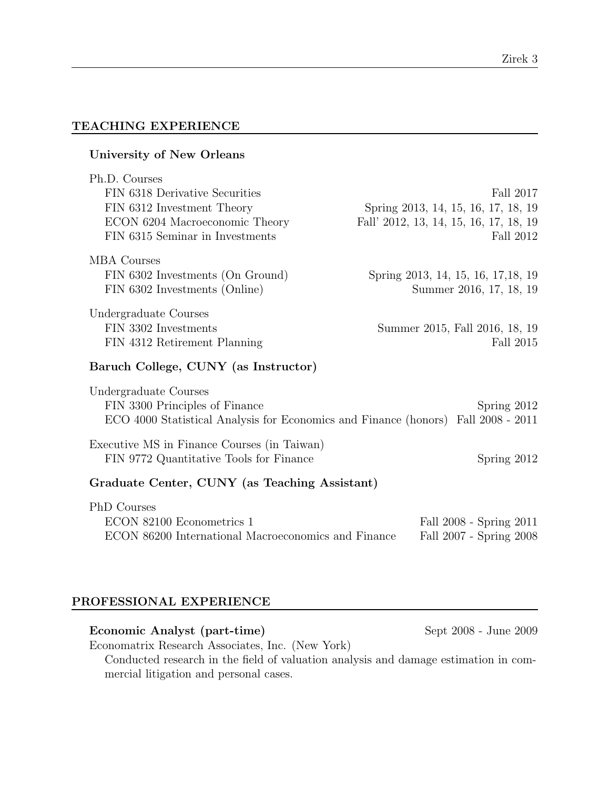## TEACHING EXPERIENCE

## University of New Orleans Ph.D. Courses FIN 6318 Derivative Securities Fall 2017 FIN 6312 Investment Theory Spring 2013, 14, 15, 16, 17, 18, 19 ECON 6204 Macroeconomic Theory Fall' 2012, 13, 14, 15, 16, 17, 18, 19 FIN 6315 Seminar in Investments Fall 2012 MBA Courses FIN 6302 Investments (On Ground) Spring 2013, 14, 15, 16, 17,18, 19 FIN 6302 Investments (Online) Summer 2016, 17, 18, 19 Undergraduate Courses FIN 3302 Investments Summer 2015, Fall 2016, 18, 19 FIN 4312 Retirement Planning Fall 2015 Baruch College, CUNY (as Instructor) Undergraduate Courses FIN 3300 Principles of Finance Spring 2012 ECO 4000 Statistical Analysis for Economics and Finance (honors) Fall 2008 - 2011 Executive MS in Finance Courses (in Taiwan) FIN 9772 Quantitative Tools for Finance Spring 2012 Graduate Center, CUNY (as Teaching Assistant) PhD Courses ECON 82100 Econometrics 1 Fall 2008 - Spring 2011 ECON 86200 International Macroeconomics and Finance Fall 2007 - Spring 2008

## PROFESSIONAL EXPERIENCE

mercial litigation and personal cases.

Economic Analyst (part-time) Sept 2008 - June 2009 -Economatrix Research Associates, Inc. (New York) Conducted research in the field of valuation analysis and damage estimation in com-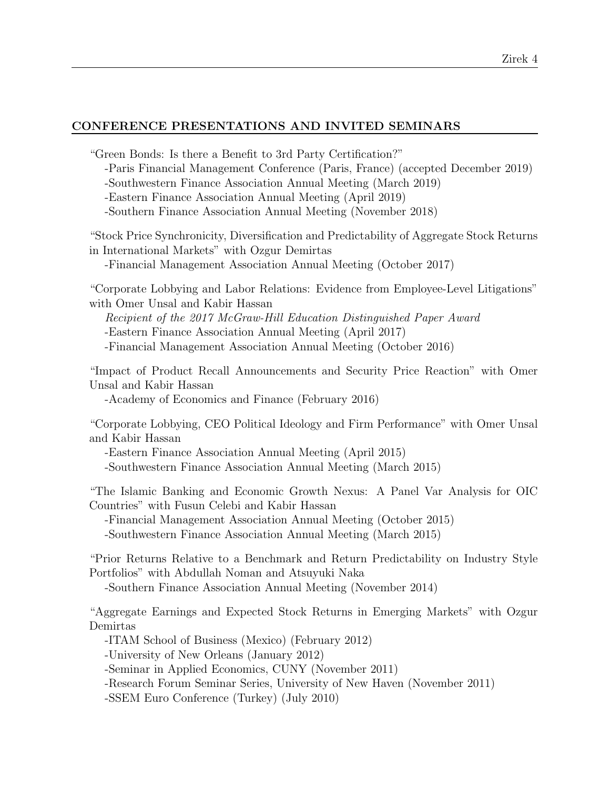#### Zirek 4

## CONFERENCE PRESENTATIONS AND INVITED SEMINARS

"Green Bonds: Is there a Benefit to 3rd Party Certification?"

-Paris Financial Management Conference (Paris, France) (accepted December 2019)

-Southwestern Finance Association Annual Meeting (March 2019)

-Eastern Finance Association Annual Meeting (April 2019)

-Southern Finance Association Annual Meeting (November 2018)

"Stock Price Synchronicity, Diversification and Predictability of Aggregate Stock Returns in International Markets" with Ozgur Demirtas

-Financial Management Association Annual Meeting (October 2017)

"Corporate Lobbying and Labor Relations: Evidence from Employee-Level Litigations" with Omer Unsal and Kabir Hassan

Recipient of the 2017 McGraw-Hill Education Distinguished Paper Award

-Eastern Finance Association Annual Meeting (April 2017)

-Financial Management Association Annual Meeting (October 2016)

"Impact of Product Recall Announcements and Security Price Reaction" with Omer Unsal and Kabir Hassan

-Academy of Economics and Finance (February 2016)

"Corporate Lobbying, CEO Political Ideology and Firm Performance" with Omer Unsal and Kabir Hassan

-Eastern Finance Association Annual Meeting (April 2015)

-Southwestern Finance Association Annual Meeting (March 2015)

"The Islamic Banking and Economic Growth Nexus: A Panel Var Analysis for OIC Countries" with Fusun Celebi and Kabir Hassan

-Financial Management Association Annual Meeting (October 2015) -Southwestern Finance Association Annual Meeting (March 2015)

"Prior Returns Relative to a Benchmark and Return Predictability on Industry Style Portfolios" with Abdullah Noman and Atsuyuki Naka

-Southern Finance Association Annual Meeting (November 2014)

"Aggregate Earnings and Expected Stock Returns in Emerging Markets" with Ozgur Demirtas

-ITAM School of Business (Mexico) (February 2012)

-University of New Orleans (January 2012)

-Seminar in Applied Economics, CUNY (November 2011)

-Research Forum Seminar Series, University of New Haven (November 2011)

-SSEM Euro Conference (Turkey) (July 2010)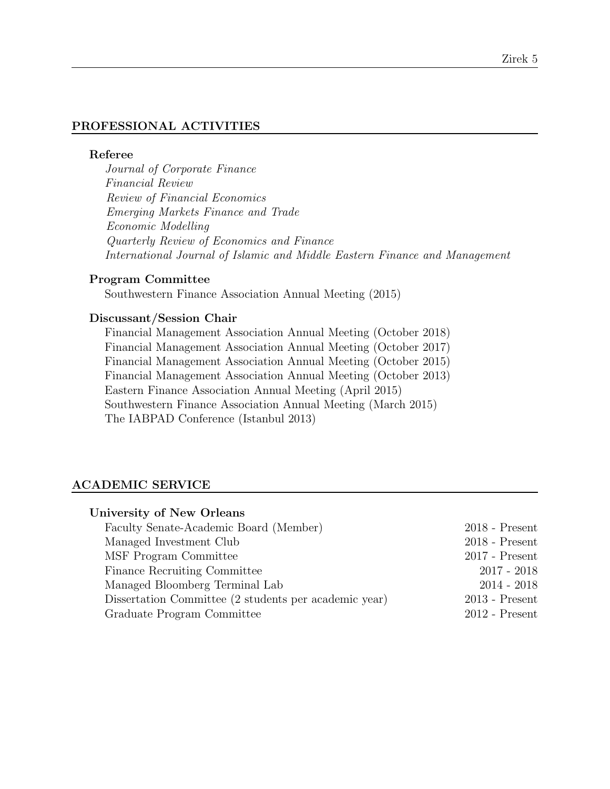## PROFESSIONAL ACTIVITIES

#### Referee

Journal of Corporate Finance Financial Review Review of Financial Economics Emerging Markets Finance and Trade Economic Modelling Quarterly Review of Economics and Finance International Journal of Islamic and Middle Eastern Finance and Management

## Program Committee

Southwestern Finance Association Annual Meeting (2015)

## Discussant/Session Chair

Financial Management Association Annual Meeting (October 2018) Financial Management Association Annual Meeting (October 2017) Financial Management Association Annual Meeting (October 2015) Financial Management Association Annual Meeting (October 2013) Eastern Finance Association Annual Meeting (April 2015) Southwestern Finance Association Annual Meeting (March 2015) The IABPAD Conference (Istanbul 2013)

#### ACADEMIC SERVICE

| University of New Orleans                             |                  |
|-------------------------------------------------------|------------------|
| Faculty Senate-Academic Board (Member)                | $2018$ - Present |
| Managed Investment Club                               | $2018$ - Present |
| MSF Program Committee                                 | $2017$ - Present |
| Finance Recruiting Committee                          | $2017 - 2018$    |
| Managed Bloomberg Terminal Lab                        | $2014 - 2018$    |
| Dissertation Committee (2 students per academic year) | $2013$ - Present |
| Graduate Program Committee                            | $2012$ - Present |